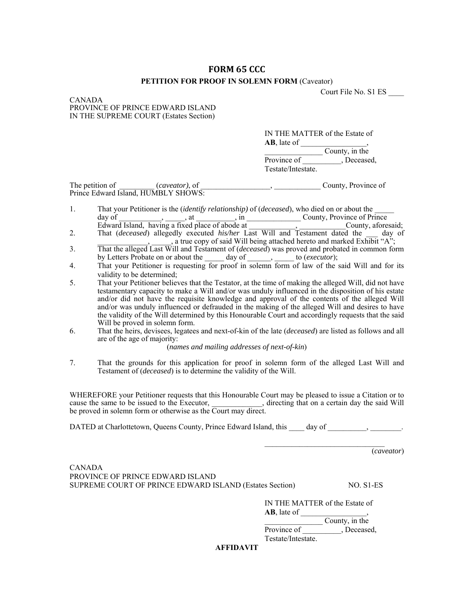## **FORM 65 CCC**

## **PETITION FOR PROOF IN SOLEMN FORM** (Caveator)

Court File No. S1 ES \_\_\_\_

CANADA PROVINCE OF PRINCE EDWARD ISLAND IN THE SUPREME COURT (Estates Section)

> IN THE MATTER of the Estate of **AB**, late of \_\_\_\_\_\_\_\_\_\_\_\_\_\_\_\_\_,

County, in the Province of \_\_\_\_\_\_\_\_\_, Deceased, Testate/Intestate.

The petition of *Caveator*), of *County*, Province of *County*, Province of Prince Edward Island, HUMBLY SHOWS:

- 1. That your Petitioner is the (*identify relationship)* of (*deceased*), who died on or about the \_\_\_\_\_ day of \_\_\_\_\_\_\_\_\_\_\_, \_\_\_\_\_, at \_\_\_\_\_\_\_\_\_\_, in \_\_\_\_\_\_\_\_\_\_\_\_\_\_ County, Province of Prince Edward Island, having a fixed place of abode at  $\qquad \qquad , \qquad \qquad$  County, aforesaid; 2. That (*deceased*) allegedly executed *his/her* Last Will and Testament dated the \_\_\_ day of
- , a true copy of said Will being attached hereto and marked Exhibit "A"; 3. That the alleged Last Will and Testament of (*deceased*) was proved and probated in common form
- by Letters Probate on or about the \_\_\_\_\_ day of \_\_\_\_\_\_, \_\_\_\_\_ to (*executor*);
- 4. That your Petitioner is requesting for proof in solemn form of law of the said Will and for its validity to be determined;
- 5. That your Petitioner believes that the Testator, at the time of making the alleged Will, did not have testamentary capacity to make a Will and/or was unduly influenced in the disposition of his estate and/or did not have the requisite knowledge and approval of the contents of the alleged Will and/or was unduly influenced or defrauded in the making of the alleged Will and desires to have the validity of the Will determined by this Honourable Court and accordingly requests that the said Will be proved in solemn form.
- 6. That the heirs, devisees, legatees and next-of-kin of the late (*deceased*) are listed as follows and all are of the age of majority:

(*names and mailing addresses of next-of-kin*)

7. That the grounds for this application for proof in solemn form of the alleged Last Will and Testament of (*deceased*) is to determine the validity of the Will.

WHEREFORE your Petitioner requests that this Honourable Court may be pleased to issue a Citation or to cause the same to be issued to the Executor, \_\_\_\_\_\_\_\_\_\_\_\_\_, directing that on a certain day the said Will be proved in solemn form or otherwise as the Court may direct.

DATED at Charlottetown, Queens County, Prince Edward Island, this day of  $\qquad \qquad , \qquad \qquad .$ 

(*caveator*)

CANADA PROVINCE OF PRINCE EDWARD ISLAND SUPREME COURT OF PRINCE EDWARD ISLAND (Estates Section) NO. S1-ES

IN THE MATTER of the Estate of **AB**, late of ,

 $\overline{\smash{\big)}\smash{\big)}$  County, in the Province of Flower Deceased, Testate/Intestate.

**AFFIDAVIT**